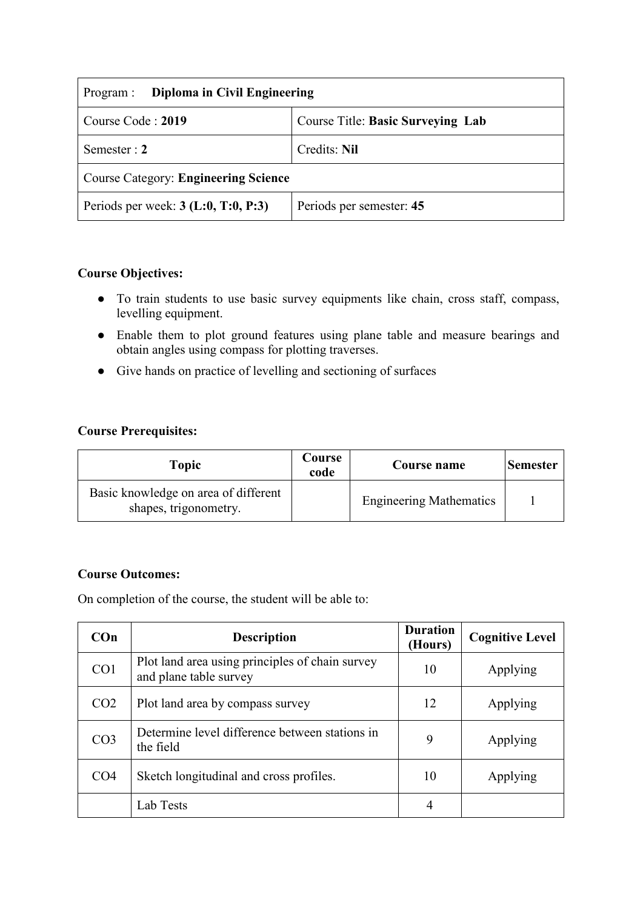| Diploma in Civil Engineering<br>Program :   |                                   |  |  |
|---------------------------------------------|-----------------------------------|--|--|
| Course Code: 2019                           | Course Title: Basic Surveying Lab |  |  |
| Semester : $2$                              | Credits: Nil                      |  |  |
| <b>Course Category: Engineering Science</b> |                                   |  |  |
| Periods per week: $3$ (L:0, T:0, P:3)       | Periods per semester: 45          |  |  |

## **Course Objectives:**

- To train students to use basic survey equipments like chain, cross staff, compass, levelling equipment.
- Enable them to plot ground features using plane table and measure bearings and obtain angles using compass for plotting traverses.
- Give hands on practice of levelling and sectioning of surfaces

### **Course Prerequisites:**

| Topic                                                         | Course<br>code | Course name                    | Semester |
|---------------------------------------------------------------|----------------|--------------------------------|----------|
| Basic knowledge on area of different<br>shapes, trigonometry. |                | <b>Engineering Mathematics</b> |          |

### **Course Outcomes:**

On completion of the course, the student will be able to:

| $Con$           | <b>Description</b>                                                        | <b>Duration</b><br>(Hours) | <b>Cognitive Level</b> |
|-----------------|---------------------------------------------------------------------------|----------------------------|------------------------|
| CO <sub>1</sub> | Plot land area using principles of chain survey<br>and plane table survey | 10                         | Applying               |
| CO <sub>2</sub> | Plot land area by compass survey                                          | 12                         | Applying               |
| CO <sub>3</sub> | Determine level difference between stations in<br>the field               | 9                          | Applying               |
| CO <sub>4</sub> | Sketch longitudinal and cross profiles.                                   | 10                         | Applying               |
|                 | Lab Tests                                                                 | 4                          |                        |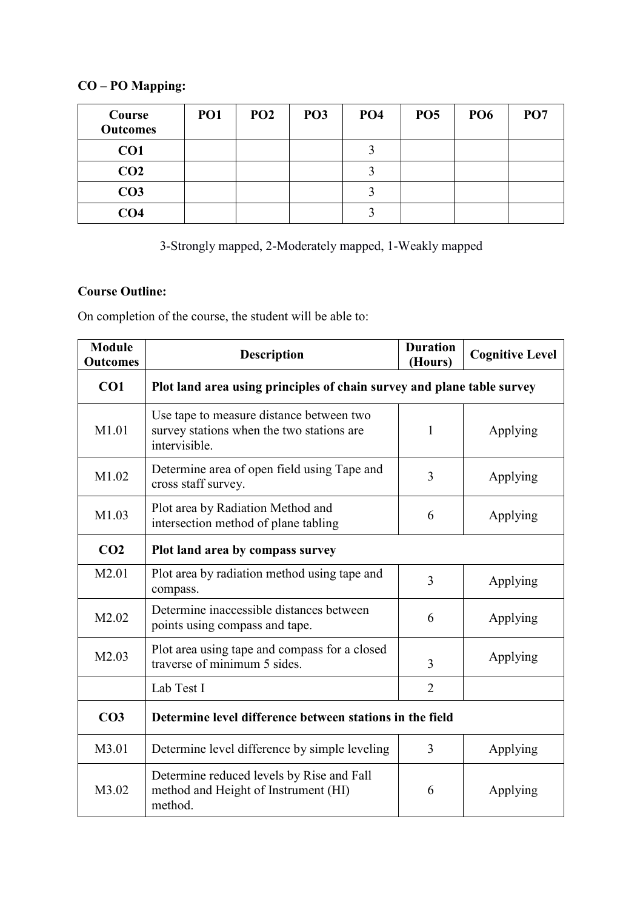# **CO – PO Mapping:**

| Course<br><b>Outcomes</b> | PO <sub>1</sub> | PO <sub>2</sub> | PO <sub>3</sub> | PO <sub>4</sub> | PO <sub>5</sub> | PO <sub>6</sub> | PO <sub>7</sub> |
|---------------------------|-----------------|-----------------|-----------------|-----------------|-----------------|-----------------|-----------------|
| CO1                       |                 |                 |                 |                 |                 |                 |                 |
| CO <sub>2</sub>           |                 |                 |                 |                 |                 |                 |                 |
| CO <sub>3</sub>           |                 |                 |                 |                 |                 |                 |                 |
| CO <sub>4</sub>           |                 |                 |                 |                 |                 |                 |                 |

3-Strongly mapped, 2-Moderately mapped, 1-Weakly mapped

# **Course Outline:**

On completion of the course, the student will be able to:

| <b>Module</b><br><b>Outcomes</b> | Description                                                                                            | <b>Duration</b><br>(Hours) | <b>Cognitive Level</b> |  |
|----------------------------------|--------------------------------------------------------------------------------------------------------|----------------------------|------------------------|--|
| CO1                              | Plot land area using principles of chain survey and plane table survey                                 |                            |                        |  |
| M1.01                            | Use tape to measure distance between two<br>survey stations when the two stations are<br>intervisible. | 1                          | Applying               |  |
| M1.02                            | Determine area of open field using Tape and<br>cross staff survey.                                     | 3                          | Applying               |  |
| M1.03                            | Plot area by Radiation Method and<br>intersection method of plane tabling                              | 6                          | Applying               |  |
| CO <sub>2</sub>                  | Plot land area by compass survey                                                                       |                            |                        |  |
| M2.01                            | Plot area by radiation method using tape and<br>compass.                                               | 3                          | Applying               |  |
| M2.02                            | Determine inaccessible distances between<br>points using compass and tape.                             | 6                          | Applying               |  |
| M2.03                            | Plot area using tape and compass for a closed<br>traverse of minimum 5 sides.                          | 3                          | Applying               |  |
|                                  | Lab Test I                                                                                             | $\overline{2}$             |                        |  |
| CO <sub>3</sub>                  | Determine level difference between stations in the field                                               |                            |                        |  |
| M3.01                            | Determine level difference by simple leveling                                                          | 3                          | Applying               |  |
| M3.02                            | Determine reduced levels by Rise and Fall<br>method and Height of Instrument (HI)<br>method.           | 6                          | Applying               |  |